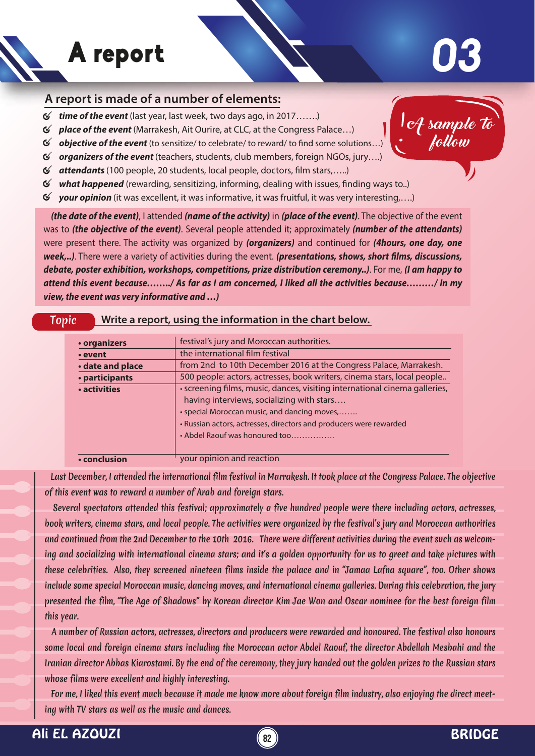## A report

## **03**

## **A report is made of a number of elements:**

- $\mathfrak{C}$ *time of the event* (last year, last week, two days ago, in 2017…….)
- *place of the event* (Marrakesh, Ait Ourire, at CLC, at the Congress Palace…)
- $\mathfrak{C}$ *objective of the event* (to sensitize/ to celebrate/ to reward/ to find some solutions...)
- *organizers of the event* (teachers, students, club members, foreign NGOs, jury….)
- 6 attendants (100 people, 20 students, local people, doctors, film stars,.....)
- *what happened* (rewarding, sensitizing, informing, dealing with issues, finding ways to..)  $\sigma$
- *your opinion* (it was excellent, it was informative, it was fruitful, it was very interesting,….)

 *(the date of the event)*, I attended *(name of the activity)* in *(place of the event)*. The objective of the event was to *(the objective of the event)*. Several people attended it; approximately *(number of the attendants)* were present there. The activity was organized by *(organizers)* and continued for *(4hours, one day, one*  week,..). There were a variety of activities during the event. (presentations, shows, short films, discussions, *debate, poster exhibition, workshops, competitions, prize distribution ceremony..)*. For me, *(I am happy to attend this event because……../ As far as I am concerned, I liked all the activities because………/ In my view, the event was very informative and …)*

| • organizers     | festival's jury and Moroccan authorities.                                                                                                                                                                                                                                       |
|------------------|---------------------------------------------------------------------------------------------------------------------------------------------------------------------------------------------------------------------------------------------------------------------------------|
| • event          | the international film festival                                                                                                                                                                                                                                                 |
| • date and place | from 2nd to 10th December 2016 at the Congress Palace, Marrakesh.                                                                                                                                                                                                               |
| • participants   | 500 people: actors, actresses, book writers, cinema stars, local people                                                                                                                                                                                                         |
| • activities     | · screening films, music, dances, visiting international cinema galleries,<br>having interviews, socializing with stars<br>· special Moroccan music, and dancing moves,<br>• Russian actors, actresses, directors and producers were rewarded<br>• Abdel Raouf was honoured too |
| • conclusion     | your opinion and reaction                                                                                                                                                                                                                                                       |

 Last December, I attended the international film festival in Marrakesh. It took place at the Congress Palace. The objective of this event was to reward a number of Arab and foreign stars.

 Several spectators attended this festival; approximately a five hundred people were there including actors, actresses, book writers, cinema stars, and local people. The activities were organized by the festival's jury and Moroccan authorities and continued from the 2nd December to the 10th 2016. There were different activities during the event such as welcoming and socializing with international cinema stars; and it's a golden opportunity for us to greet and take pictures with these celebrities. Also, they screened nineteen films inside the palace and in "Jamaa Lafna square", too. Other shows include some special Moroccan music, dancing moves, and international cinema galleries. During this celebration, the jury presented the film, "The Age of Shadows" by Korean director Kim Jae Won and Oscar nominee for the best foreign film this year.

 A number of Russian actors, actresses, directors and producers were rewarded and honoured. The festival also honours some local and foreign cinema stars including the Moroccan actor Abdel Raouf, the director Abdellah Mesbahi and the Iranian director Abbas Kiarostami. By the end of the ceremony, they jury handed out the golden prizes to the Russian stars whose films were excellent and highly interesting.

 For me, I liked this event much because it made me know more about foreign film industry, also enjoying the direct meeting with TV stars as well as the music and dances.